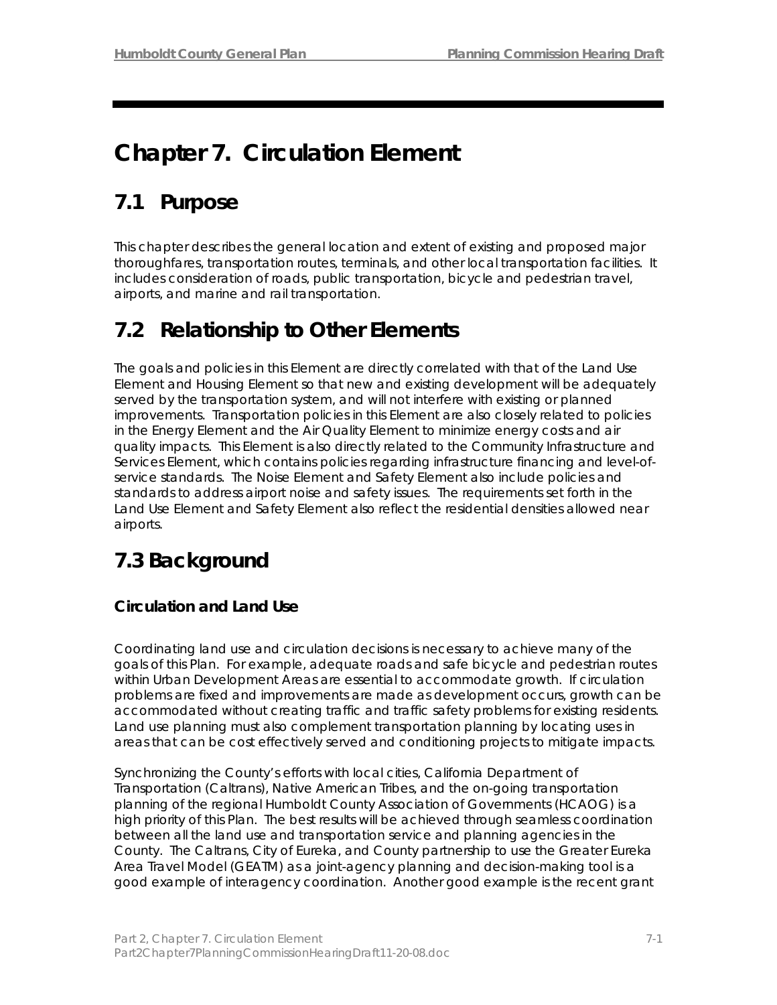# **Chapter 7. Circulation Element**

# **7.1 Purpose**

This chapter describes the general location and extent of existing and proposed major thoroughfares, transportation routes, terminals, and other local transportation facilities. It includes consideration of roads, public transportation, bicycle and pedestrian travel, airports, and marine and rail transportation.

# **7.2 Relationship to Other Elements**

The goals and policies in this Element are directly correlated with that of the Land Use Element and Housing Element so that new and existing development will be adequately served by the transportation system, and will not interfere with existing or planned improvements. Transportation policies in this Element are also closely related to policies in the Energy Element and the Air Quality Element to minimize energy costs and air quality impacts. This Element is also directly related to the Community Infrastructure and Services Element, which contains policies regarding infrastructure financing and level-ofservice standards. The Noise Element and Safety Element also include policies and standards to address airport noise and safety issues. The requirements set forth in the Land Use Element and Safety Element also reflect the residential densities allowed near airports.

# **7.3 Background**

## **Circulation and Land Use**

Coordinating land use and circulation decisions is necessary to achieve many of the goals of this Plan. For example, adequate roads and safe bicycle and pedestrian routes within Urban Development Areas are essential to accommodate growth. If circulation problems are fixed and improvements are made as development occurs, growth can be accommodated without creating traffic and traffic safety problems for existing residents. Land use planning must also complement transportation planning by locating uses in areas that can be cost effectively served and conditioning projects to mitigate impacts.

Synchronizing the County's efforts with local cities, California Department of Transportation (Caltrans), Native American Tribes, and the on-going transportation planning of the regional Humboldt County Association of Governments (HCAOG) is a high priority of this Plan. The best results will be achieved through seamless coordination between all the land use and transportation service and planning agencies in the County. The Caltrans, City of Eureka, and County partnership to use the Greater Eureka Area Travel Model (GEATM) as a joint-agency planning and decision-making tool is a good example of interagency coordination. Another good example is the recent grant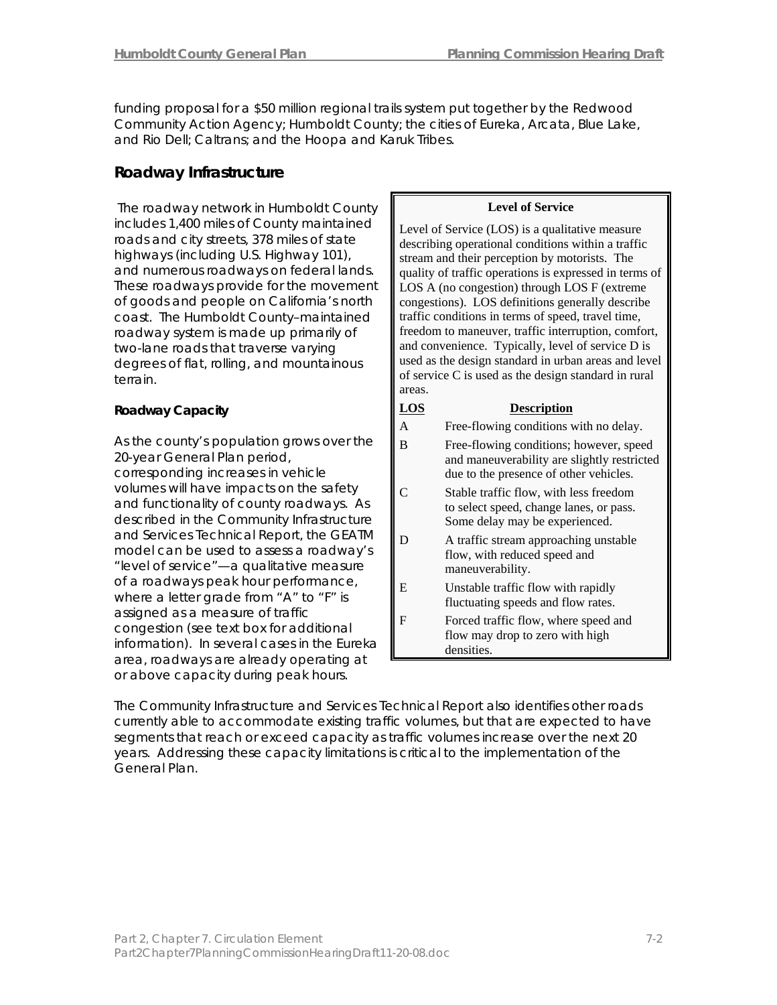funding proposal for a \$50 million regional trails system put together by the Redwood Community Action Agency; Humboldt County; the cities of Eureka, Arcata, Blue Lake, and Rio Dell; Caltrans; and the Hoopa and Karuk Tribes.

## **Roadway Infrastructure**

The roadway network in Humboldt County  $\|\$  **Level of Service** includes 1,400 miles of County maintained roads and city streets, 378 miles of state highways (including U.S. Highway 101), and numerous roadways on federal lands. These roadways provide for the movement of goods and people on California's north coast. The Humboldt County–maintained roadway system is made up primarily of two-lane roads that traverse varying degrees of flat, rolling, and mountainous terrain.

As the county's population grows over the 20-year General Plan period, corresponding increases in vehicle volumes will have impacts on the safety and functionality of county roadways. As described in the Community Infrastructure and Services Technical Report, the GEATM model can be used to assess a roadway's "level of service"—a qualitative measure of a roadways peak hour performance, where a letter grade from "A" to "F" is assigned as a measure of traffic congestion (see text box for additional information). In several cases in the Eureka area, roadways are already operating at or above capacity during peak hours.

Level of Service (LOS) is a qualitative measure describing operational conditions within a traffic stream and their perception by motorists. The quality of traffic operations is expressed in terms of LOS A (no congestion) through LOS F (extreme congestions). LOS definitions generally describe traffic conditions in terms of speed, travel time, freedom to maneuver, traffic interruption, comfort, and convenience. Typically, level of service D is used as the design standard in urban areas and level of service C is used as the design standard in rural areas.

### **Roadway Capacity Capacity Capacity Capacity Roadway Capacity Capacity Capacity Capacity Capacity Capacity Capacity Capacity Capacity Capacity Capacity Capacity Capacity Capacity Capacit** A Free-flowing conditions with no delay. B Free-flowing conditions; however, speed and maneuverability are slightly restricted due to the presence of other vehicles. C Stable traffic flow, with less freedom to select speed, change lanes, or pass. Some delay may be experienced. D A traffic stream approaching unstable flow, with reduced speed and maneuverability. E Unstable traffic flow with rapidly fluctuating speeds and flow rates. F Forced traffic flow, where speed and flow may drop to zero with high densities.

The Community Infrastructure and Services Technical Report also identifies other roads currently able to accommodate existing traffic volumes, but that are expected to have segments that reach or exceed capacity as traffic volumes increase over the next 20 years. Addressing these capacity limitations is critical to the implementation of the General Plan.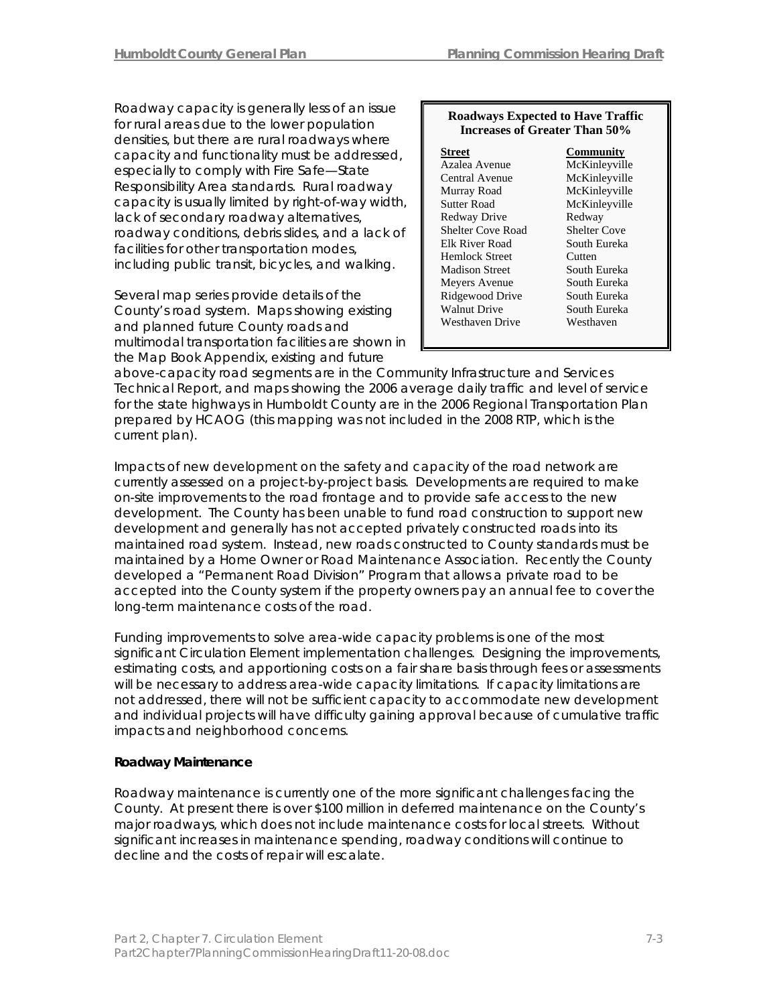Roadway capacity is generally less of an issue for rural areas due to the lower population densities, but there are rural roadways where capacity and functionality must be addressed, especially to comply with Fire Safe—State Responsibility Area standards. Rural roadway capacity is usually limited by right-of-way width, lack of secondary roadway alternatives, roadway conditions, debris slides, and a lack of facilities for other transportation modes, including public transit, bicycles, and walking.

Several map series provide details of the County's road system. Maps showing existing and planned future County roads and multimodal transportation facilities are shown in the Map Book Appendix, existing and future

#### **Roadways Expected to Have Traffic Increases of Greater Than 50%**

#### **Street Community** Azalea Avenue McKinleyville Central Avenue McKinleyville Murray Road McKinleyville Sutter Road McKinleyville Redway Drive Redway Shelter Cove Road Shelter Cove Elk River Road South Eureka Hemlock Street Cutten<br>
Madison Street South Eureka Madison Street Meyers Avenue South Eureka Ridgewood Drive South Eureka Walnut Drive South Eureka Westhaven Drive Westhaven

above-capacity road segments are in the Community Infrastructure and Services Technical Report, and maps showing the 2006 average daily traffic and level of service for the state highways in Humboldt County are in the *2006 Regional Transportation Plan* prepared by HCAOG (this mapping was not included in the 2008 RTP, which is the current plan).

Impacts of new development on the safety and capacity of the road network are currently assessed on a project-by-project basis. Developments are required to make on-site improvements to the road frontage and to provide safe access to the new development. The County has been unable to fund road construction to support new development and generally has not accepted privately constructed roads into its maintained road system. Instead, new roads constructed to County standards must be maintained by a Home Owner or Road Maintenance Association. Recently the County developed a "Permanent Road Division" Program that allows a private road to be accepted into the County system if the property owners pay an annual fee to cover the long-term maintenance costs of the road.

Funding improvements to solve area-wide capacity problems is one of the most significant Circulation Element implementation challenges. Designing the improvements, estimating costs, and apportioning costs on a fair share basis through fees or assessments will be necessary to address area-wide capacity limitations. If capacity limitations are not addressed, there will not be sufficient capacity to accommodate new development and individual projects will have difficulty gaining approval because of cumulative traffic impacts and neighborhood concerns.

#### **Roadway Maintenance**

Roadway maintenance is currently one of the more significant challenges facing the County. At present there is over \$100 million in deferred maintenance on the County's major roadways, which does not include maintenance costs for local streets. Without significant increases in maintenance spending, roadway conditions will continue to decline and the costs of repair will escalate.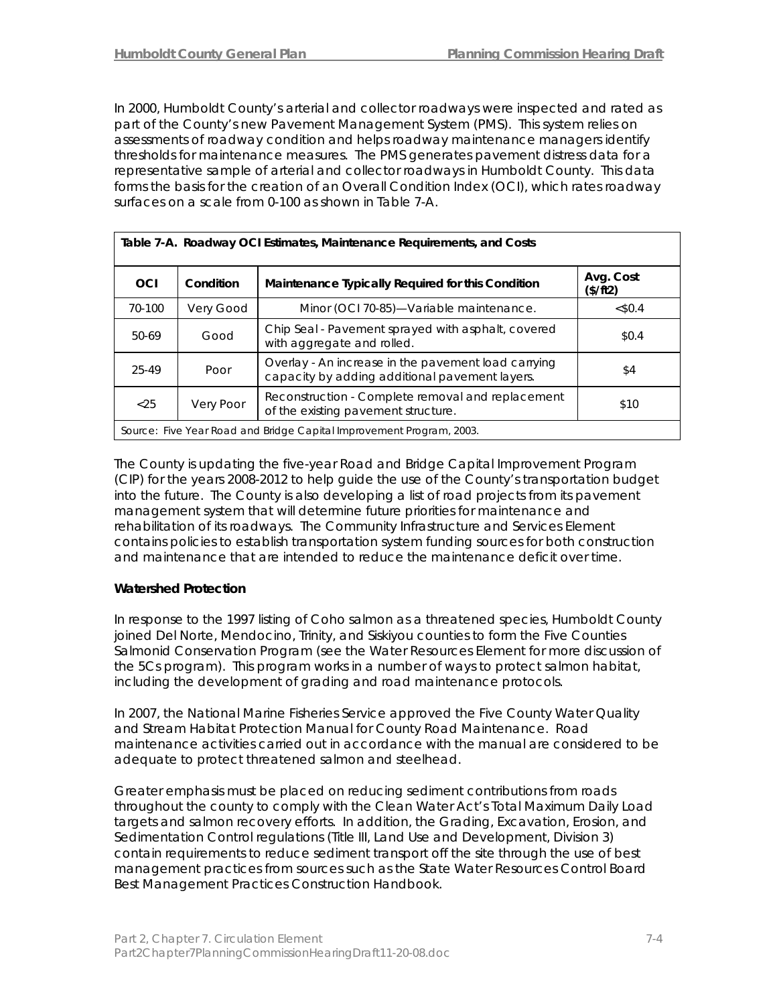In 2000, Humboldt County's arterial and collector roadways were inspected and rated as part of the County's new Pavement Management System (PMS). This system relies on assessments of roadway condition and helps roadway maintenance managers identify thresholds for maintenance measures. The PMS generates pavement distress data for a representative sample of arterial and collector roadways in Humboldt County. This data forms the basis for the creation of an Overall Condition Index (OCI), which rates roadway surfaces on a scale from 0-100 as shown in Table 7-A.

| Table 7-A. Roadway OCI Estimates, Maintenance Requirements, and Costs |                                                                |                                                                                                       |         |  |  |  |  |  |  |  |  |
|-----------------------------------------------------------------------|----------------------------------------------------------------|-------------------------------------------------------------------------------------------------------|---------|--|--|--|--|--|--|--|--|
| OCI                                                                   | Maintenance Typically Required for this Condition<br>Condition |                                                                                                       |         |  |  |  |  |  |  |  |  |
| 70-100                                                                | Very Good                                                      | Minor (OCI 70-85)-Variable maintenance.                                                               | < \$0.4 |  |  |  |  |  |  |  |  |
| 50-69                                                                 | Good                                                           | Chip Seal - Pavement sprayed with asphalt, covered<br>with aggregate and rolled.                      | \$0.4   |  |  |  |  |  |  |  |  |
| 25-49                                                                 | Poor                                                           | Overlay - An increase in the pavement load carrying<br>capacity by adding additional pavement layers. | \$4     |  |  |  |  |  |  |  |  |
| < 25                                                                  | Very Poor                                                      | Reconstruction - Complete removal and replacement<br>of the existing pavement structure.              | \$10    |  |  |  |  |  |  |  |  |
| Source: Five Year Road and Bridge Capital Improvement Program, 2003.  |                                                                |                                                                                                       |         |  |  |  |  |  |  |  |  |

The County is updating the five-year *Road and Bridge Capital Improvement Program* (CIP) for the years 2008-2012 to help guide the use of the County's transportation budget into the future. The County is also developing a list of road projects from its pavement management system that will determine future priorities for maintenance and rehabilitation of its roadways. The Community Infrastructure and Services Element contains policies to establish transportation system funding sources for both construction and maintenance that are intended to reduce the maintenance deficit over time.

#### **Watershed Protection**

In response to the 1997 listing of Coho salmon as a threatened species, Humboldt County joined Del Norte, Mendocino, Trinity, and Siskiyou counties to form the Five Counties Salmonid Conservation Program (see the Water Resources Element for more discussion of the 5Cs program). This program works in a number of ways to protect salmon habitat, including the development of grading and road maintenance protocols.

In 2007, the National Marine Fisheries Service approved the *Five County Water Quality and Stream Habitat Protection Manual for County Road Maintenance*. Road maintenance activities carried out in accordance with the manual are considered to be adequate to protect threatened salmon and steelhead.

Greater emphasis must be placed on reducing sediment contributions from roads throughout the county to comply with the Clean Water Act's Total Maximum Daily Load targets and salmon recovery efforts. In addition, the Grading, Excavation, Erosion, and Sedimentation Control regulations (Title III, Land Use and Development, Division 3) contain requirements to reduce sediment transport off the site through the use of best management practices from sources such as the *State Water Resources Control Board Best Management Practices Construction Handbook*.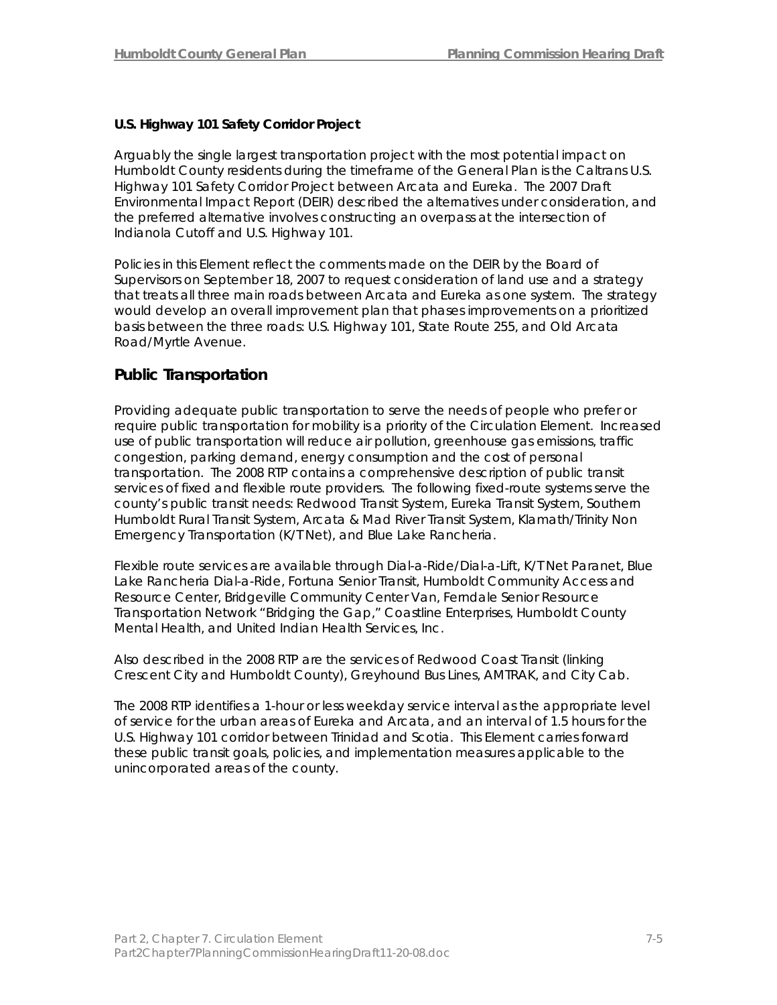## **U.S. Highway 101 Safety Corridor Project**

Arguably the single largest transportation project with the most potential impact on Humboldt County residents during the timeframe of the General Plan is the Caltrans U.S. Highway 101 Safety Corridor Project between Arcata and Eureka. The *2007 Draft Environmental Impact Report* (DEIR) described the alternatives under consideration, and the preferred alternative involves constructing an overpass at the intersection of Indianola Cutoff and U.S. Highway 101.

Policies in this Element reflect the comments made on the DEIR by the Board of Supervisors on September 18, 2007 to request consideration of land use and a strategy that treats all three main roads between Arcata and Eureka as one system. The strategy would develop an overall improvement plan that phases improvements on a prioritized basis between the three roads: U.S. Highway 101, State Route 255, and Old Arcata Road/Myrtle Avenue.

## **Public Transportation**

Providing adequate public transportation to serve the needs of people who prefer or require public transportation for mobility is a priority of the Circulation Element. Increased use of public transportation will reduce air pollution, greenhouse gas emissions, traffic congestion, parking demand, energy consumption and the cost of personal transportation. The 2008 RTP contains a comprehensive description of public transit services of fixed and flexible route providers. The following fixed-route systems serve the county's public transit needs: Redwood Transit System, Eureka Transit System, Southern Humboldt Rural Transit System, Arcata & Mad River Transit System, Klamath/Trinity Non Emergency Transportation (K/T Net), and Blue Lake Rancheria.

Flexible route services are available through Dial-a-Ride/Dial-a-Lift, K/T Net Paranet, Blue Lake Rancheria Dial-a-Ride, Fortuna Senior Transit, Humboldt Community Access and Resource Center, Bridgeville Community Center Van, Ferndale Senior Resource Transportation Network "Bridging the Gap," Coastline Enterprises, Humboldt County Mental Health, and United Indian Health Services, Inc.

Also described in the 2008 RTP are the services of Redwood Coast Transit (linking Crescent City and Humboldt County), Greyhound Bus Lines, AMTRAK, and City Cab.

The 2008 RTP identifies a 1-hour or less weekday service interval as the appropriate level of service for the urban areas of Eureka and Arcata, and an interval of 1.5 hours for the U.S. Highway 101 corridor between Trinidad and Scotia. This Element carries forward these public transit goals, policies, and implementation measures applicable to the unincorporated areas of the county.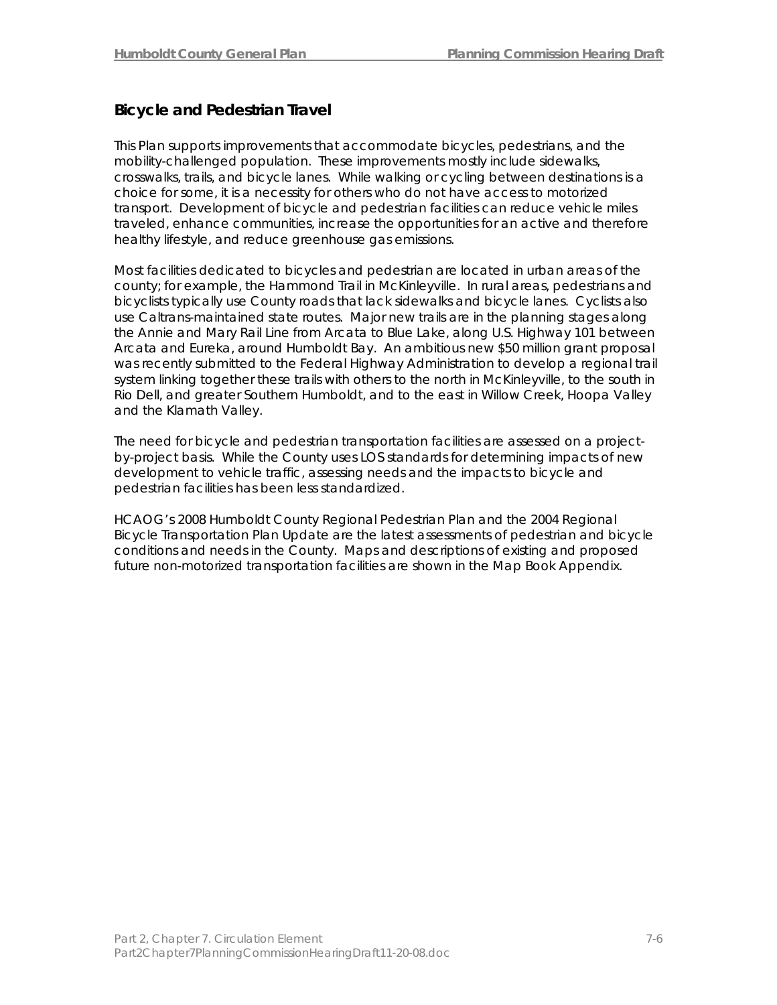## **Bicycle and Pedestrian Travel**

This Plan supports improvements that accommodate bicycles, pedestrians, and the mobility-challenged population. These improvements mostly include sidewalks, crosswalks, trails, and bicycle lanes. While walking or cycling between destinations is a choice for some, it is a necessity for others who do not have access to motorized transport. Development of bicycle and pedestrian facilities can reduce vehicle miles traveled, enhance communities, increase the opportunities for an active and therefore healthy lifestyle, and reduce greenhouse gas emissions.

Most facilities dedicated to bicycles and pedestrian are located in urban areas of the county; for example, the Hammond Trail in McKinleyville. In rural areas, pedestrians and bicyclists typically use County roads that lack sidewalks and bicycle lanes. Cyclists also use Caltrans-maintained state routes. Major new trails are in the planning stages along the Annie and Mary Rail Line from Arcata to Blue Lake, along U.S. Highway 101 between Arcata and Eureka, around Humboldt Bay. An ambitious new \$50 million grant proposal was recently submitted to the Federal Highway Administration to develop a regional trail system linking together these trails with others to the north in McKinleyville, to the south in Rio Dell, and greater Southern Humboldt, and to the east in Willow Creek, Hoopa Valley and the Klamath Valley.

The need for bicycle and pedestrian transportation facilities are assessed on a projectby-project basis. While the County uses LOS standards for determining impacts of new development to vehicle traffic, assessing needs and the impacts to bicycle and pedestrian facilities has been less standardized.

HCAOG's 2008 Humboldt County Regional Pedestrian Plan and the 2004 Regional Bicycle Transportation Plan Update are the latest assessments of pedestrian and bicycle conditions and needs in the County. Maps and descriptions of existing and proposed future non-motorized transportation facilities are shown in the Map Book Appendix.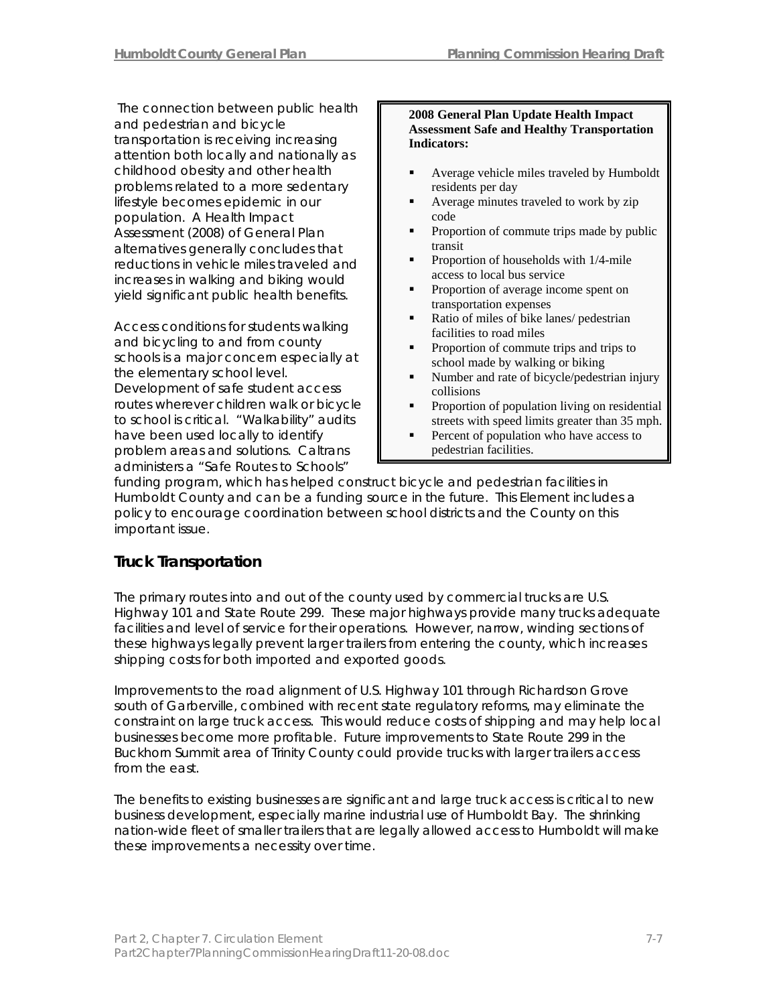The connection between public health and pedestrian and bicycle transportation is receiving increasing attention both locally and nationally as childhood obesity and other health problems related to a more sedentary lifestyle becomes epidemic in our population. A Health Impact Assessment (2008) of General Plan alternatives generally concludes that reductions in vehicle miles traveled and increases in walking and biking would yield significant public health benefits.

Access conditions for students walking and bicycling to and from county schools is a major concern especially at the elementary school level. Development of safe student access routes wherever children walk or bicycle to school is critical. "Walkability" audits have been used locally to identify problem areas and solutions. Caltrans administers a "Safe Routes to Schools"

#### **2008 General Plan Update Health Impact Assessment Safe and Healthy Transportation Indicators:**

- **Average vehicle miles traveled by Humboldt** residents per day
- Average minutes traveled to work by zip code
- **Proportion of commute trips made by public** transit
- Proportion of households with  $1/4$ -mile access to local bus service
- **Proportion of average income spent on** transportation expenses
- Ratio of miles of bike lanes/ pedestrian facilities to road miles
- **Proportion of commute trips and trips to** school made by walking or biking
- Number and rate of bicycle/pedestrian injury collisions
- **Proportion of population living on residential** streets with speed limits greater than 35 mph.
- **Percent of population who have access to** pedestrian facilities.

funding program, which has helped construct bicycle and pedestrian facilities in Humboldt County and can be a funding source in the future. This Element includes a policy to encourage coordination between school districts and the County on this important issue.

## **Truck Transportation**

The primary routes into and out of the county used by commercial trucks are U.S. Highway 101 and State Route 299. These major highways provide many trucks adequate facilities and level of service for their operations. However, narrow, winding sections of these highways legally prevent larger trailers from entering the county, which increases shipping costs for both imported and exported goods.

Improvements to the road alignment of U.S. Highway 101 through Richardson Grove south of Garberville, combined with recent state regulatory reforms, may eliminate the constraint on large truck access. This would reduce costs of shipping and may help local businesses become more profitable. Future improvements to State Route 299 in the Buckhorn Summit area of Trinity County could provide trucks with larger trailers access from the east.

The benefits to existing businesses are significant and large truck access is critical to new business development, especially marine industrial use of Humboldt Bay. The shrinking nation-wide fleet of smaller trailers that are legally allowed access to Humboldt will make these improvements a necessity over time.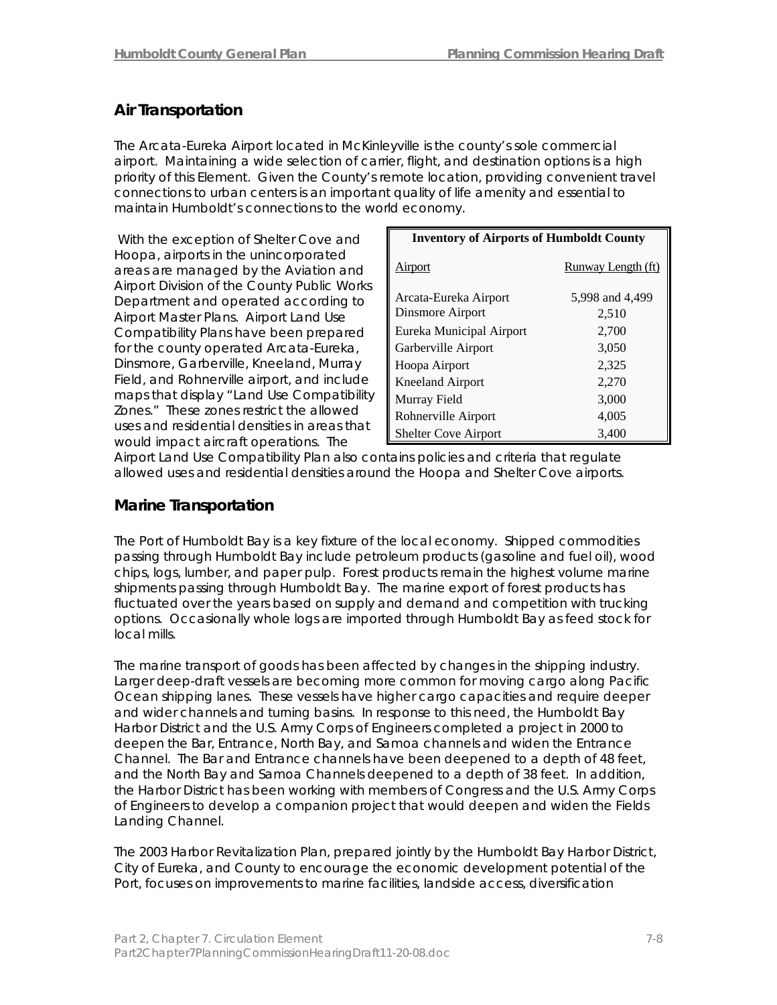## **Air Transportation**

The Arcata-Eureka Airport located in McKinleyville is the county's sole commercial airport. Maintaining a wide selection of carrier, flight, and destination options is a high priority of this Element. Given the County's remote location, providing convenient travel connections to urban centers is an important quality of life amenity and essential to maintain Humboldt's connections to the world economy.

 With the exception of Shelter Cove and Hoopa, airports in the unincorporated areas are managed by the Aviation and Airport Division of the County Public Works Department and operated according to Airport Master Plans. Airport Land Use Compatibility Plans have been prepared for the county operated Arcata-Eureka, Dinsmore, Garberville, Kneeland, Murray Field, and Rohnerville airport, and include maps that display "Land Use Compatibility Zones." These zones restrict the allowed uses and residential densities in areas that would impact aircraft operations. The

| <b>Inventory of Airports of Humboldt County</b> |                    |  |  |  |  |  |  |  |  |  |  |  |
|-------------------------------------------------|--------------------|--|--|--|--|--|--|--|--|--|--|--|
| Airport                                         | Runway Length (ft) |  |  |  |  |  |  |  |  |  |  |  |
| Arcata-Eureka Airport                           | 5,998 and 4,499    |  |  |  |  |  |  |  |  |  |  |  |
| Dinsmore Airport                                | 2,510              |  |  |  |  |  |  |  |  |  |  |  |
| Eureka Municipal Airport                        | 2,700              |  |  |  |  |  |  |  |  |  |  |  |
| Garberville Airport                             | 3,050              |  |  |  |  |  |  |  |  |  |  |  |
| Hoopa Airport                                   | 2,325              |  |  |  |  |  |  |  |  |  |  |  |
| <b>Kneeland Airport</b>                         | 2,270              |  |  |  |  |  |  |  |  |  |  |  |
| Murray Field                                    | 3,000              |  |  |  |  |  |  |  |  |  |  |  |
| Rohnerville Airport                             | 4,005              |  |  |  |  |  |  |  |  |  |  |  |
| <b>Shelter Cove Airport</b>                     | 3,400              |  |  |  |  |  |  |  |  |  |  |  |

Airport Land Use Compatibility Plan also contains policies and criteria that regulate allowed uses and residential densities around the Hoopa and Shelter Cove airports.

## **Marine Transportation**

The Port of Humboldt Bay is a key fixture of the local economy. Shipped commodities passing through Humboldt Bay include petroleum products (gasoline and fuel oil), wood chips, logs, lumber, and paper pulp. Forest products remain the highest volume marine shipments passing through Humboldt Bay. The marine export of forest products has fluctuated over the years based on supply and demand and competition with trucking options. Occasionally whole logs are imported through Humboldt Bay as feed stock for local mills.

The marine transport of goods has been affected by changes in the shipping industry. Larger deep-draft vessels are becoming more common for moving cargo along Pacific Ocean shipping lanes. These vessels have higher cargo capacities and require deeper and wider channels and turning basins. In response to this need, the Humboldt Bay Harbor District and the U.S. Army Corps of Engineers completed a project in 2000 to deepen the Bar, Entrance, North Bay, and Samoa channels and widen the Entrance Channel. The Bar and Entrance channels have been deepened to a depth of 48 feet, and the North Bay and Samoa Channels deepened to a depth of 38 feet. In addition, the Harbor District has been working with members of Congress and the U.S. Army Corps of Engineers to develop a companion project that would deepen and widen the Fields Landing Channel.

The 2003 Harbor Revitalization Plan, prepared jointly by the Humboldt Bay Harbor District, City of Eureka, and County to encourage the economic development potential of the Port, focuses on improvements to marine facilities, landside access, diversification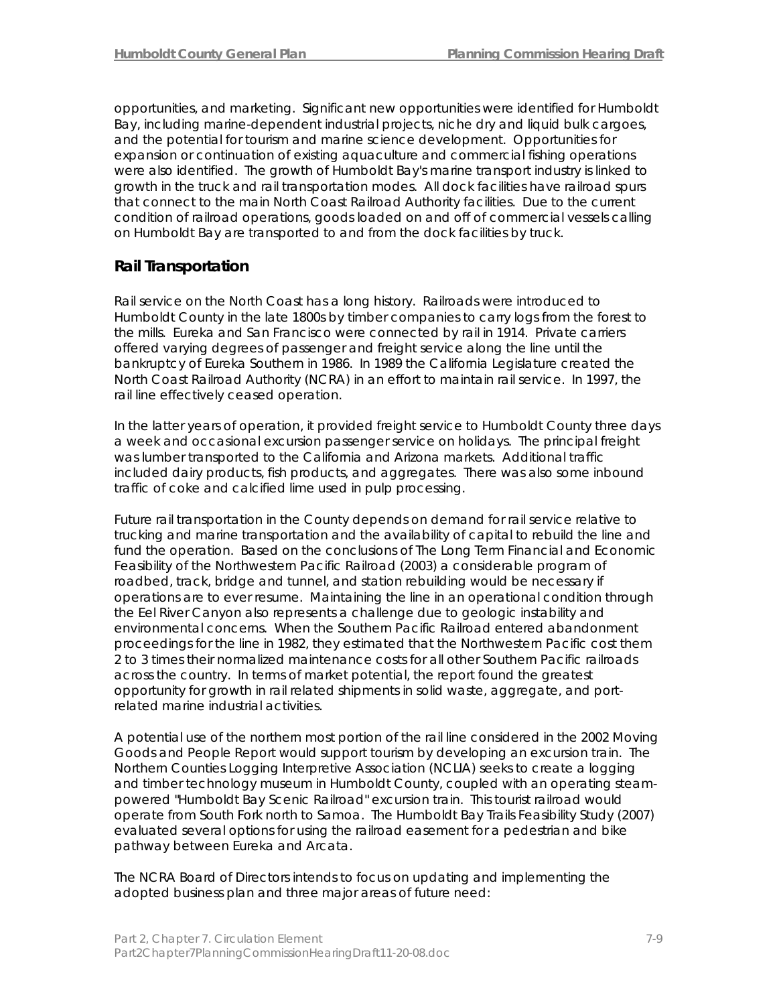opportunities, and marketing. Significant new opportunities were identified for Humboldt Bay, including marine-dependent industrial projects, niche dry and liquid bulk cargoes, and the potential for tourism and marine science development. Opportunities for expansion or continuation of existing aquaculture and commercial fishing operations were also identified. The growth of Humboldt Bay's marine transport industry is linked to growth in the truck and rail transportation modes. All dock facilities have railroad spurs that connect to the main North Coast Railroad Authority facilities. Due to the current condition of railroad operations, goods loaded on and off of commercial vessels calling on Humboldt Bay are transported to and from the dock facilities by truck.

## **Rail Transportation**

Rail service on the North Coast has a long history. Railroads were introduced to Humboldt County in the late 1800s by timber companies to carry logs from the forest to the mills. Eureka and San Francisco were connected by rail in 1914. Private carriers offered varying degrees of passenger and freight service along the line until the bankruptcy of Eureka Southern in 1986. In 1989 the California Legislature created the North Coast Railroad Authority (NCRA) in an effort to maintain rail service. In 1997, the rail line effectively ceased operation.

In the latter years of operation, it provided freight service to Humboldt County three days a week and occasional excursion passenger service on holidays. The principal freight was lumber transported to the California and Arizona markets. Additional traffic included dairy products, fish products, and aggregates. There was also some inbound traffic of coke and calcified lime used in pulp processing.

Future rail transportation in the County depends on demand for rail service relative to trucking and marine transportation and the availability of capital to rebuild the line and fund the operation. Based on the conclusions of The Long Term Financial and Economic Feasibility of the Northwestern Pacific Railroad (2003) a considerable program of roadbed, track, bridge and tunnel, and station rebuilding would be necessary if operations are to ever resume. Maintaining the line in an operational condition through the Eel River Canyon also represents a challenge due to geologic instability and environmental concerns. When the Southern Pacific Railroad entered abandonment proceedings for the line in 1982, they estimated that the Northwestern Pacific cost them 2 to 3 times their normalized maintenance costs for all other Southern Pacific railroads across the country. In terms of market potential, the report found the greatest opportunity for growth in rail related shipments in solid waste, aggregate, and portrelated marine industrial activities.

A potential use of the northern most portion of the rail line considered in the 2002 Moving Goods and People Report would support tourism by developing an excursion train. The Northern Counties Logging Interpretive Association (NCLIA) seeks to create a logging and timber technology museum in Humboldt County, coupled with an operating steampowered "Humboldt Bay Scenic Railroad" excursion train. This tourist railroad would operate from South Fork north to Samoa. The Humboldt Bay Trails Feasibility Study (2007) evaluated several options for using the railroad easement for a pedestrian and bike pathway between Eureka and Arcata.

The NCRA Board of Directors intends to focus on updating and implementing the adopted business plan and three major areas of future need: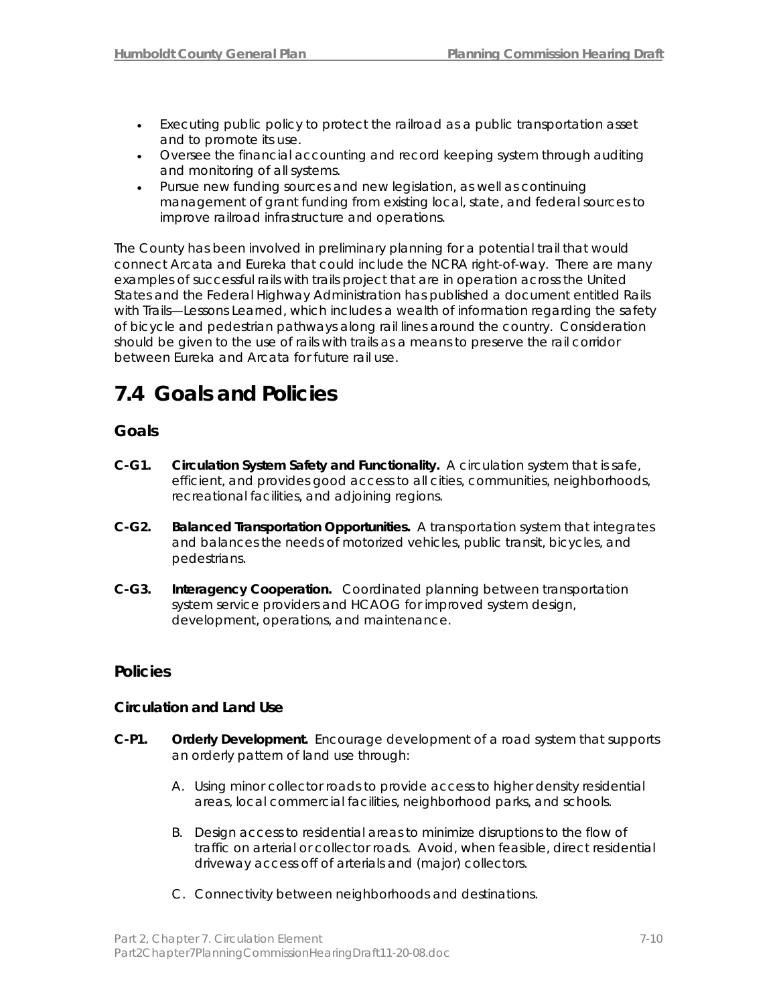- Executing public policy to protect the railroad as a public transportation asset and to promote its use.
- Oversee the financial accounting and record keeping system through auditing and monitoring of all systems.
- Pursue new funding sources and new legislation, as well as continuing management of grant funding from existing local, state, and federal sources to improve railroad infrastructure and operations.

The County has been involved in preliminary planning for a potential trail that would connect Arcata and Eureka that could include the NCRA right-of-way. There are many examples of successful rails with trails project that are in operation across the United States and the Federal Highway Administration has published a document entitled *Rails with Trails—Lessons Learned*, which includes a wealth of information regarding the safety of bicycle and pedestrian pathways along rail lines around the country. Consideration should be given to the use of rails with trails as a means to preserve the rail corridor between Eureka and Arcata for future rail use.

# **7.4 Goals and Policies**

## **Goals**

- **C-G1. Circulation System Safety and Functionality.** A circulation system that is safe, efficient, and provides good access to all cities, communities, neighborhoods, recreational facilities, and adjoining regions.
- **C-G2. Balanced Transportation Opportunities.** A transportation system that integrates and balances the needs of motorized vehicles, public transit, bicycles, and pedestrians.
- **C-G3. Interagency Cooperation.** Coordinated planning between transportation system service providers and HCAOG for improved system design, development, operations, and maintenance.

## **Policies**

## **Circulation and Land Use**

- **C-P1. Orderly Development.** Encourage development of a road system that supports an orderly pattern of land use through:
	- A. Using minor collector roads to provide access to higher density residential areas, local commercial facilities, neighborhood parks, and schools.
	- B. Design access to residential areas to minimize disruptions to the flow of traffic on arterial or collector roads. Avoid, when feasible, direct residential driveway access off of arterials and (major) collectors.
	- C. Connectivity between neighborhoods and destinations.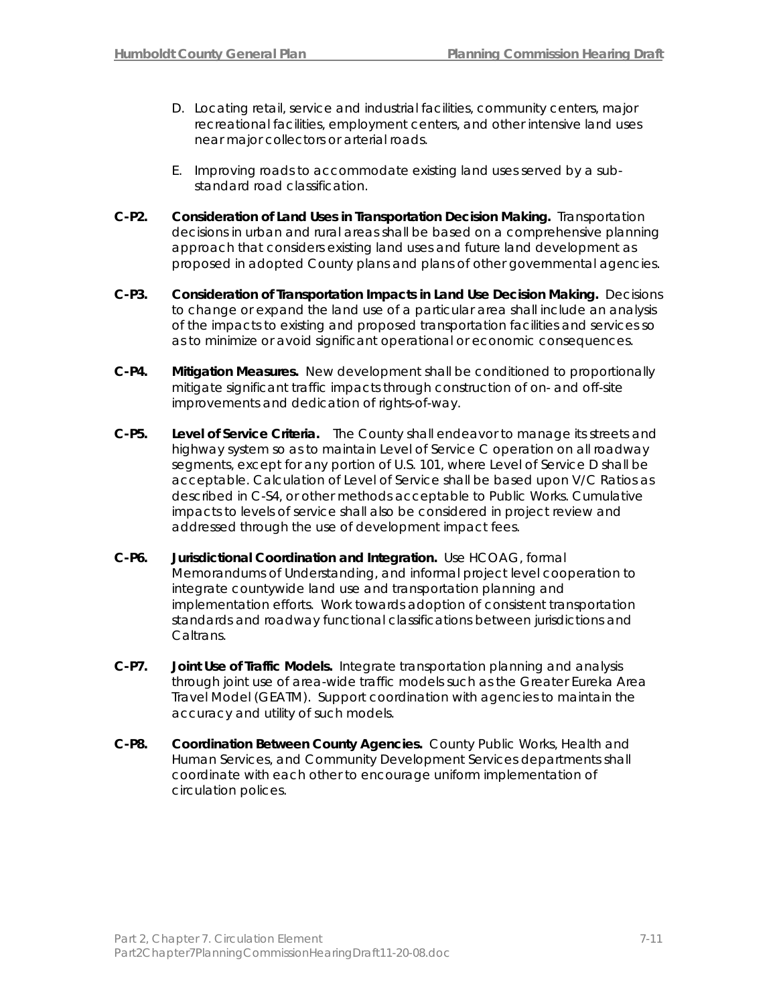- D. Locating retail, service and industrial facilities, community centers, major recreational facilities, employment centers, and other intensive land uses near major collectors or arterial roads.
- E. Improving roads to accommodate existing land uses served by a substandard road classification.
- **C-P2. Consideration of Land Uses in Transportation Decision Making.** Transportation decisions in urban and rural areas shall be based on a comprehensive planning approach that considers existing land uses and future land development as proposed in adopted County plans and plans of other governmental agencies.
- **C-P3. Consideration of Transportation Impacts in Land Use Decision Making.** Decisions to change or expand the land use of a particular area shall include an analysis of the impacts to existing and proposed transportation facilities and services so as to minimize or avoid significant operational or economic consequences.
- **C-P4. Mitigation Measures.** New development shall be conditioned to proportionally mitigate significant traffic impacts through construction of on- and off-site improvements and dedication of rights-of-way.
- **C-P5. Level of Service Criteria.** The County shall endeavor to manage its streets and highway system so as to maintain Level of Service C operation on all roadway segments, except for any portion of U.S. 101, where Level of Service D shall be acceptable. Calculation of Level of Service shall be based upon V/C Ratios as described in C-S4, or other methods acceptable to Public Works. Cumulative impacts to levels of service shall also be considered in project review and addressed through the use of development impact fees.
- **C-P6. Jurisdictional Coordination and Integration.** Use HCOAG, formal Memorandums of Understanding, and informal project level cooperation to integrate countywide land use and transportation planning and implementation efforts. Work towards adoption of consistent transportation standards and roadway functional classifications between jurisdictions and Caltrans.
- **C-P7. Joint Use of Traffic Models.** Integrate transportation planning and analysis through joint use of area-wide traffic models such as the Greater Eureka Area Travel Model (GEATM). Support coordination with agencies to maintain the accuracy and utility of such models.
- **C-P8. Coordination Between County Agencies.** County Public Works, Health and Human Services, and Community Development Services departments shall coordinate with each other to encourage uniform implementation of circulation polices.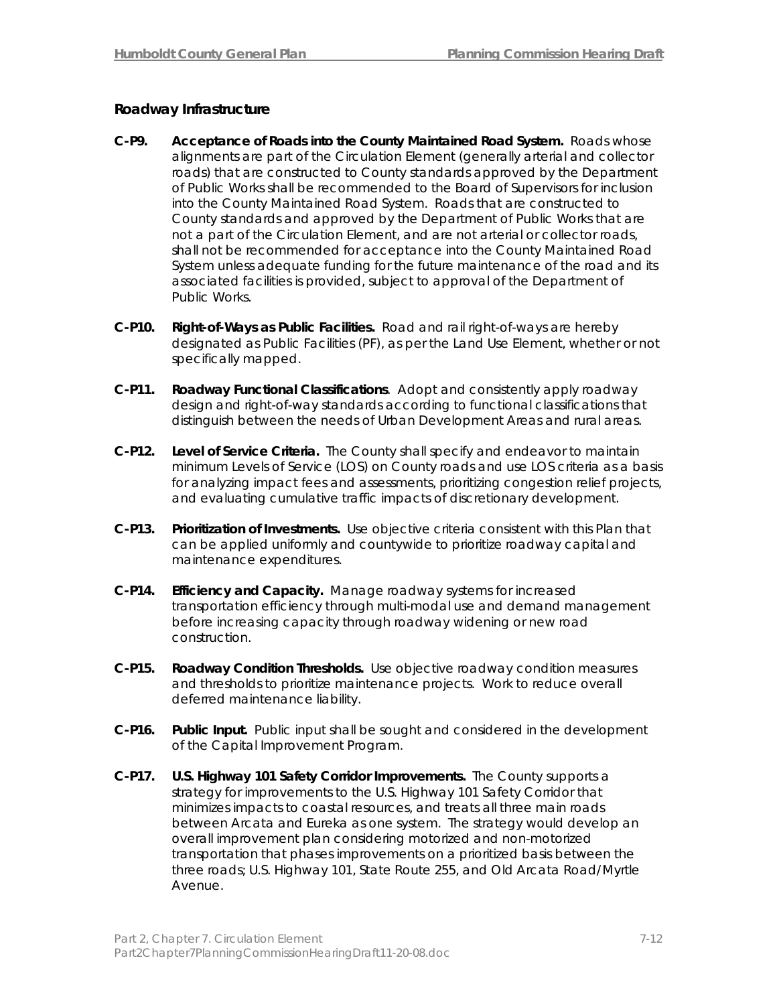## **Roadway Infrastructure**

- **C-P9. Acceptance of Roads into the County Maintained Road System.** Roads whose alignments are part of the Circulation Element (generally arterial and collector roads) that are constructed to County standards approved by the Department of Public Works shall be recommended to the Board of Supervisors for inclusion into the County Maintained Road System. Roads that are constructed to County standards and approved by the Department of Public Works that are not a part of the Circulation Element, and are not arterial or collector roads, shall not be recommended for acceptance into the County Maintained Road System unless adequate funding for the future maintenance of the road and its associated facilities is provided, subject to approval of the Department of Public Works.
- **C-P10. Right-of-Ways as Public Facilities.** Road and rail right-of-ways are hereby designated as Public Facilities (PF), as per the Land Use Element, whether or not specifically mapped.
- **C-P11. Roadway Functional Classifications**. Adopt and consistently apply roadway design and right-of-way standards according to functional classifications that distinguish between the needs of Urban Development Areas and rural areas.
- **C-P12. Level of Service Criteria.** The County shall specify and endeavor to maintain minimum Levels of Service (LOS) on County roads and use LOS criteria as a basis for analyzing impact fees and assessments, prioritizing congestion relief projects, and evaluating cumulative traffic impacts of discretionary development.
- **C-P13. Prioritization of Investments.** Use objective criteria consistent with this Plan that can be applied uniformly and countywide to prioritize roadway capital and maintenance expenditures.
- **C-P14. Efficiency and Capacity.** Manage roadway systems for increased transportation efficiency through multi-modal use and demand management before increasing capacity through roadway widening or new road construction.
- **C-P15. Roadway Condition Thresholds.** Use objective roadway condition measures and thresholds to prioritize maintenance projects. Work to reduce overall deferred maintenance liability.
- **C-P16. Public Input.** Public input shall be sought and considered in the development of the Capital Improvement Program.
- **C-P17. U.S. Highway 101 Safety Corridor Improvements.** The County supports a strategy for improvements to the U.S. Highway 101 Safety Corridor that minimizes impacts to coastal resources, and treats all three main roads between Arcata and Eureka as one system. The strategy would develop an overall improvement plan considering motorized and non-motorized transportation that phases improvements on a prioritized basis between the three roads; U.S. Highway 101, State Route 255, and Old Arcata Road/Myrtle Avenue.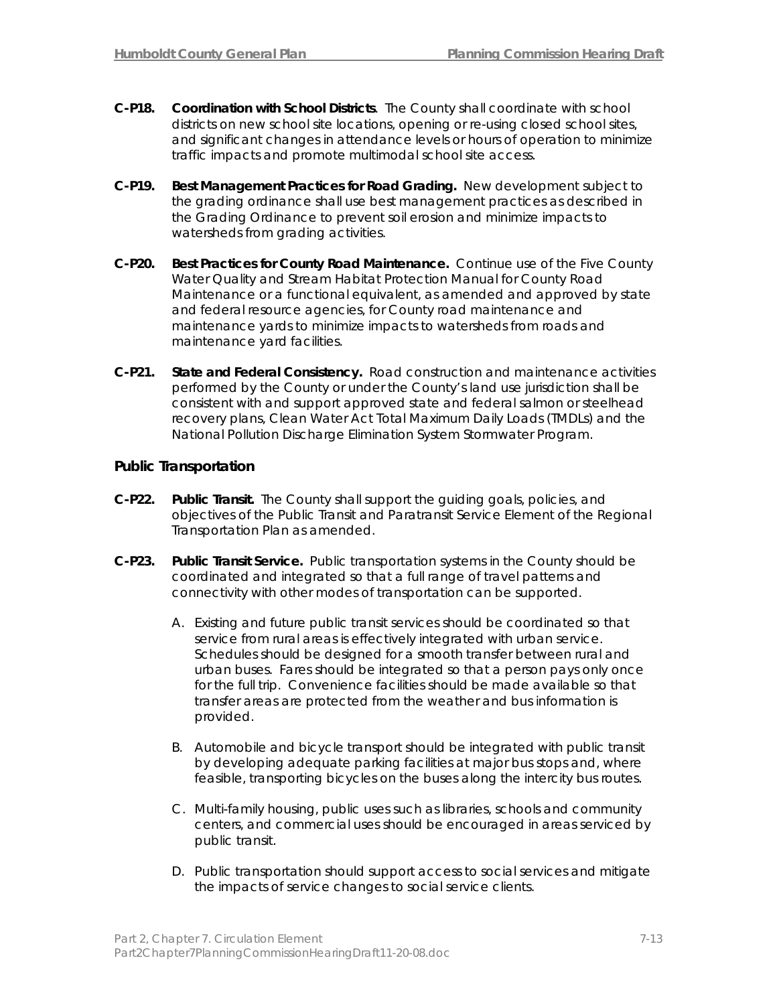- **C-P18. Coordination with School Districts**. The County shall coordinate with school districts on new school site locations, opening or re-using closed school sites, and significant changes in attendance levels or hours of operation to minimize traffic impacts and promote multimodal school site access.
- **C-P19. Best Management Practices for Road Grading.** New development subject to the grading ordinance shall use best management practices as described in the Grading Ordinance to prevent soil erosion and minimize impacts to watersheds from grading activities.
- **C-P20. Best Practices for County Road Maintenance.** Continue use of the Five County Water Quality and Stream Habitat Protection Manual for County Road Maintenance or a functional equivalent, as amended and approved by state and federal resource agencies, for County road maintenance and maintenance yards to minimize impacts to watersheds from roads and maintenance yard facilities.
- **C-P21. State and Federal Consistency.** Road construction and maintenance activities performed by the County or under the County's land use jurisdiction shall be consistent with and support approved state and federal salmon or steelhead recovery plans, Clean Water Act Total Maximum Daily Loads (TMDLs) and the National Pollution Discharge Elimination System Stormwater Program.

## **Public Transportation**

- **C-P22. Public Transit.** The County shall support the guiding goals, policies, and objectives of the Public Transit and Paratransit Service Element of the Regional Transportation Plan as amended.
- **C-P23. Public Transit Service.** Public transportation systems in the County should be coordinated and integrated so that a full range of travel patterns and connectivity with other modes of transportation can be supported.
	- A. Existing and future public transit services should be coordinated so that service from rural areas is effectively integrated with urban service. Schedules should be designed for a smooth transfer between rural and urban buses. Fares should be integrated so that a person pays only once for the full trip. Convenience facilities should be made available so that transfer areas are protected from the weather and bus information is provided.
	- B. Automobile and bicycle transport should be integrated with public transit by developing adequate parking facilities at major bus stops and, where feasible, transporting bicycles on the buses along the intercity bus routes.
	- C. Multi-family housing, public uses such as libraries, schools and community centers, and commercial uses should be encouraged in areas serviced by public transit.
	- D. Public transportation should support access to social services and mitigate the impacts of service changes to social service clients.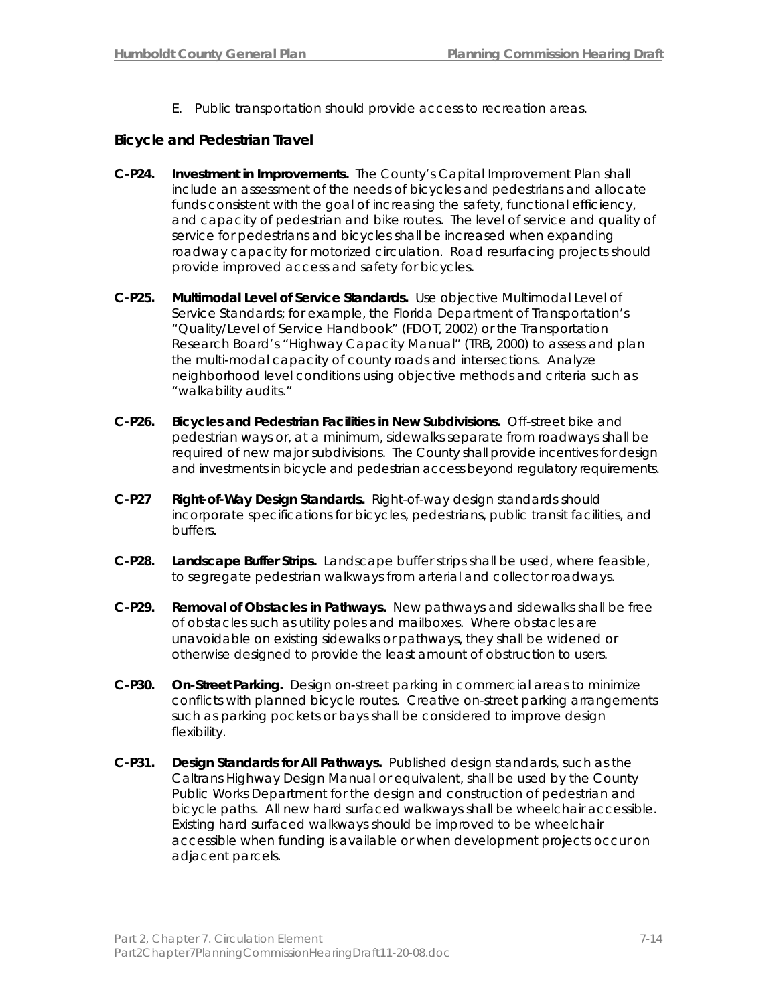E. Public transportation should provide access to recreation areas.

## **Bicycle and Pedestrian Travel**

- **C-P24. Investment in Improvements.** The County's Capital Improvement Plan shall include an assessment of the needs of bicycles and pedestrians and allocate funds consistent with the goal of increasing the safety, functional efficiency, and capacity of pedestrian and bike routes. The level of service and quality of service for pedestrians and bicycles shall be increased when expanding roadway capacity for motorized circulation. Road resurfacing projects should provide improved access and safety for bicycles.
- **C-P25. Multimodal Level of Service Standards.** Use objective Multimodal Level of Service Standards; for example, the Florida Department of Transportation's "Quality/Level of Service Handbook" (FDOT, 2002) or the Transportation Research Board's "Highway Capacity Manual" (TRB, 2000) to assess and plan the multi-modal capacity of county roads and intersections. Analyze neighborhood level conditions using objective methods and criteria such as "walkability audits."
- **C-P26. Bicycles and Pedestrian Facilities in New Subdivisions.** Off-street bike and pedestrian ways or, at a minimum, sidewalks separate from roadways shall be required of new major subdivisions. The County shall provide incentives for design and investments in bicycle and pedestrian access beyond regulatory requirements.
- **C-P27 Right-of-Way Design Standards.** Right-of-way design standards should incorporate specifications for bicycles, pedestrians, public transit facilities, and buffers.
- **C-P28. Landscape Buffer Strips.** Landscape buffer strips shall be used, where feasible, to segregate pedestrian walkways from arterial and collector roadways.
- **C-P29. Removal of Obstacles in Pathways.** New pathways and sidewalks shall be free of obstacles such as utility poles and mailboxes. Where obstacles are unavoidable on existing sidewalks or pathways, they shall be widened or otherwise designed to provide the least amount of obstruction to users.
- **C-P30. On-Street Parking.** Design on-street parking in commercial areas to minimize conflicts with planned bicycle routes. Creative on-street parking arrangements such as parking pockets or bays shall be considered to improve design flexibility.
- **C-P31. Design Standards for All Pathways.** Published design standards, such as the Caltrans Highway Design Manual or equivalent, shall be used by the County Public Works Department for the design and construction of pedestrian and bicycle paths. All new hard surfaced walkways shall be wheelchair accessible. Existing hard surfaced walkways should be improved to be wheelchair accessible when funding is available or when development projects occur on adjacent parcels.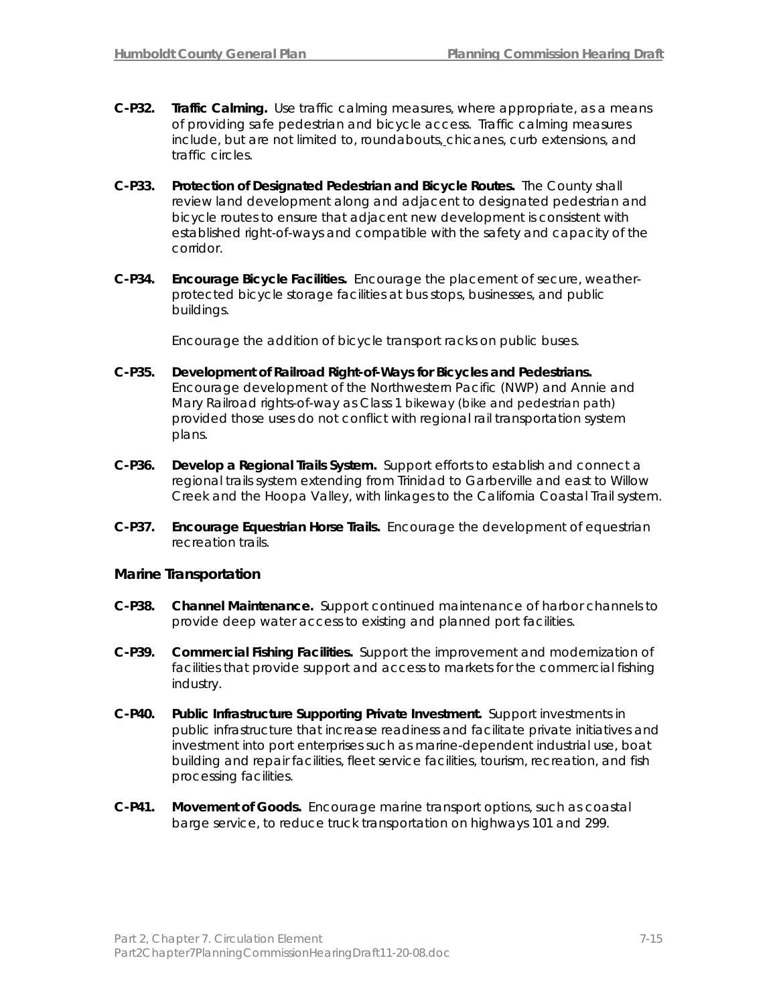- **C-P32. Traffic Calming.** Use traffic calming measures, where appropriate, as a means of providing safe pedestrian and bicycle access. Traffic calming measures include, but are not limited to, roundabouts, chicanes, curb extensions, and traffic circles.
- **C-P33. Protection of Designated Pedestrian and Bicycle Routes.** The County shall review land development along and adjacent to designated pedestrian and bicycle routes to ensure that adjacent new development is consistent with established right-of-ways and compatible with the safety and capacity of the corridor.
- **C-P34. Encourage Bicycle Facilities.** Encourage the placement of secure, weatherprotected bicycle storage facilities at bus stops, businesses, and public buildings.

Encourage the addition of bicycle transport racks on public buses.

- **C-P35. Development of Railroad Right-of-Ways for Bicycles and Pedestrians.**  Encourage development of the Northwestern Pacific (NWP) and Annie and Mary Railroad rights-of-way as Class 1 bikeway (bike and pedestrian path) provided those uses do not conflict with regional rail transportation system plans.
- **C-P36. Develop a Regional Trails System.** Support efforts to establish and connect a regional trails system extending from Trinidad to Garberville and east to Willow Creek and the Hoopa Valley, with linkages to the California Coastal Trail system.
- **C-P37. Encourage Equestrian Horse Trails.** Encourage the development of equestrian recreation trails.

#### **Marine Transportation**

- **C-P38. Channel Maintenance.** Support continued maintenance of harbor channels to provide deep water access to existing and planned port facilities.
- **C-P39. Commercial Fishing Facilities.** Support the improvement and modernization of facilities that provide support and access to markets for the commercial fishing industry.
- **C-P40. Public Infrastructure Supporting Private Investment.** Support investments in public infrastructure that increase readiness and facilitate private initiatives and investment into port enterprises such as marine-dependent industrial use, boat building and repair facilities, fleet service facilities, tourism, recreation, and fish processing facilities.
- **C-P41. Movement of Goods.** Encourage marine transport options, such as coastal barge service, to reduce truck transportation on highways 101 and 299.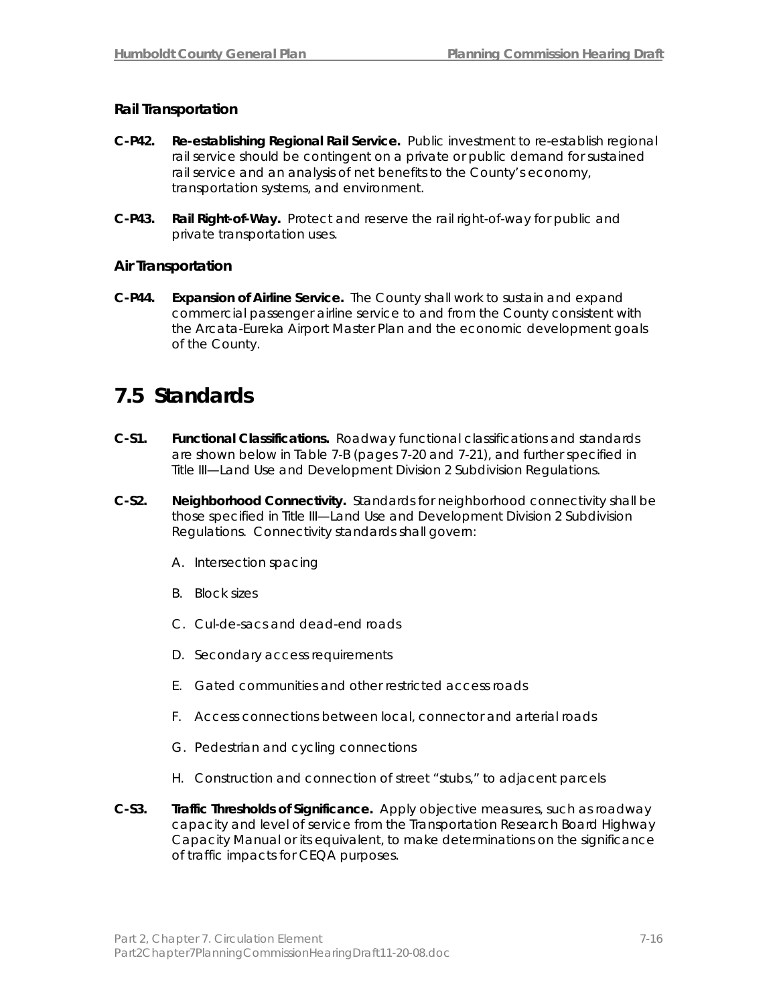## **Rail Transportation**

- **C-P42. Re-establishing Regional Rail Service.** Public investment to re-establish regional rail service should be contingent on a private or public demand for sustained rail service and an analysis of net benefits to the County's economy, transportation systems, and environment.
- **C-P43. Rail Right-of-Way.** Protect and reserve the rail right-of-way for public and private transportation uses.

## **Air Transportation**

**C-P44. Expansion of Airline Service.** The County shall work to sustain and expand commercial passenger airline service to and from the County consistent with the Arcata-Eureka Airport Master Plan and the economic development goals of the County.

## **7.5 Standards**

- **C-S1. Functional Classifications.** Roadway functional classifications and standards are shown below in Table 7-B (pages 7-20 and 7-21), and further specified in Title III—Land Use and Development Division 2 Subdivision Regulations.
- **C-S2. Neighborhood Connectivity.** Standards for neighborhood connectivity shall be those specified in Title III—Land Use and Development Division 2 Subdivision Regulations. Connectivity standards shall govern:
	- A. Intersection spacing
	- B. Block sizes
	- C. Cul-de-sacs and dead-end roads
	- D. Secondary access requirements
	- E. Gated communities and other restricted access roads
	- F. Access connections between local, connector and arterial roads
	- G. Pedestrian and cycling connections
	- H. Construction and connection of street "stubs," to adjacent parcels
- **C-S3. Traffic Thresholds of Significance.** Apply objective measures, such as roadway capacity and level of service from the Transportation Research Board Highway Capacity Manual or its equivalent, to make determinations on the significance of traffic impacts for CEQA purposes.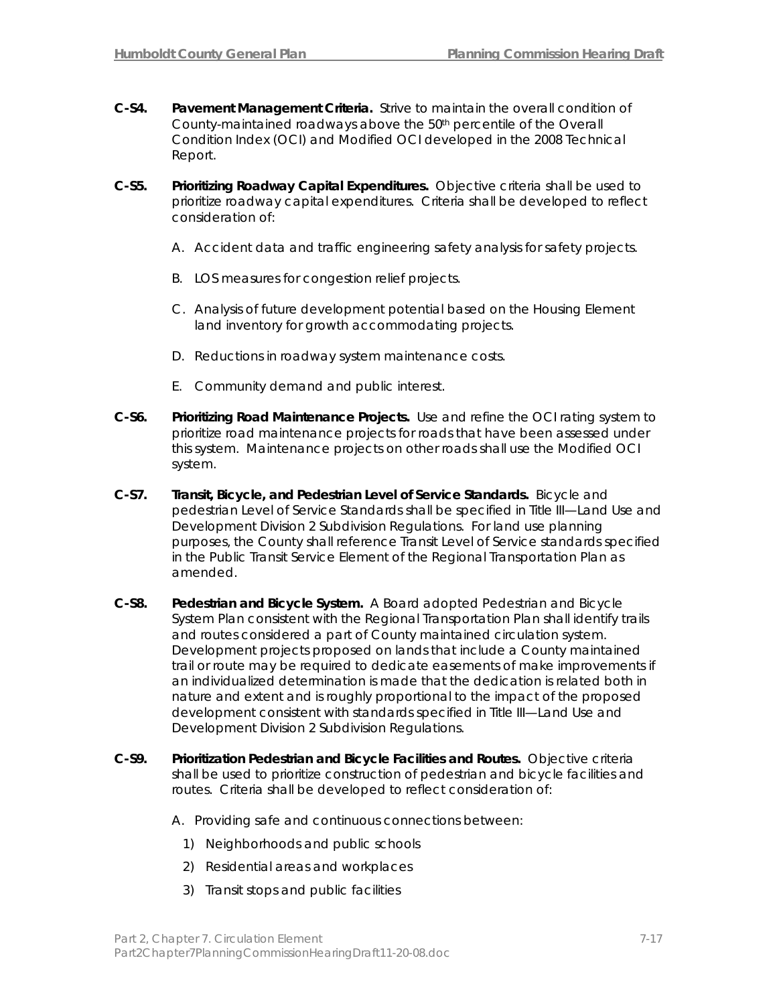- **C-S4. Pavement Management Criteria.** Strive to maintain the overall condition of County-maintained roadways above the 50th percentile of the Overall Condition Index (OCI) and Modified OCI developed in the 2008 Technical Report.
- **C-S5. Prioritizing Roadway Capital Expenditures.** Objective criteria shall be used to prioritize roadway capital expenditures. Criteria shall be developed to reflect consideration of:
	- A. Accident data and traffic engineering safety analysis for safety projects.
	- B. LOS measures for congestion relief projects.
	- C. Analysis of future development potential based on the Housing Element land inventory for growth accommodating projects.
	- D. Reductions in roadway system maintenance costs.
	- E. Community demand and public interest.
- **C-S6. Prioritizing Road Maintenance Projects.** Use and refine the OCI rating system to prioritize road maintenance projects for roads that have been assessed under this system. Maintenance projects on other roads shall use the Modified OCI system.
- **C-S7. Transit, Bicycle, and Pedestrian Level of Service Standards.** Bicycle and pedestrian Level of Service Standards shall be specified in Title III—Land Use and Development Division 2 Subdivision Regulations. For land use planning purposes, the County shall reference Transit Level of Service standards specified in the Public Transit Service Element of the Regional Transportation Plan as amended.
- **C-S8. Pedestrian and Bicycle System.** A Board adopted Pedestrian and Bicycle System Plan consistent with the Regional Transportation Plan shall identify trails and routes considered a part of County maintained circulation system. Development projects proposed on lands that include a County maintained trail or route may be required to dedicate easements of make improvements if an individualized determination is made that the dedication is related both in nature and extent and is roughly proportional to the impact of the proposed development consistent with standards specified in Title III—Land Use and Development Division 2 Subdivision Regulations.
- **C-S9. Prioritization Pedestrian and Bicycle Facilities and Routes.** Objective criteria shall be used to prioritize construction of pedestrian and bicycle facilities and routes. Criteria shall be developed to reflect consideration of:
	- A. Providing safe and continuous connections between:
		- 1) Neighborhoods and public schools
		- 2) Residential areas and workplaces
		- 3) Transit stops and public facilities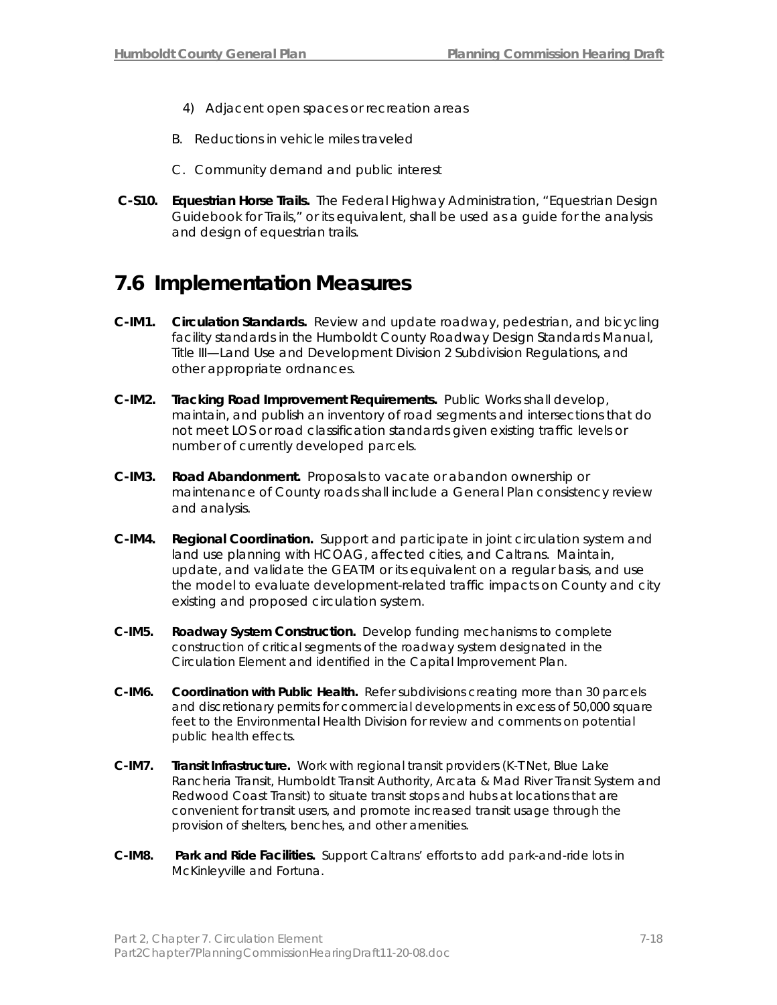- 4) Adjacent open spaces or recreation areas
- B. Reductions in vehicle miles traveled
- C. Community demand and public interest
- **C-S10. Equestrian Horse Trails.** The Federal Highway Administration, "Equestrian Design Guidebook for Trails," or its equivalent, shall be used as a guide for the analysis and design of equestrian trails.

# **7.6 Implementation Measures**

- **C-IM1. Circulation Standards.** Review and update roadway, pedestrian, and bicycling facility standards in the Humboldt County Roadway Design Standards Manual, Title III—Land Use and Development Division 2 Subdivision Regulations, and other appropriate ordnances.
- **C-IM2. Tracking Road Improvement Requirements.** Public Works shall develop, maintain, and publish an inventory of road segments and intersections that do not meet LOS or road classification standards given existing traffic levels or number of currently developed parcels.
- **C-IM3. Road Abandonment.** Proposals to vacate or abandon ownership or maintenance of County roads shall include a General Plan consistency review and analysis.
- **C-IM4. Regional Coordination.** Support and participate in joint circulation system and land use planning with HCOAG, affected cities, and Caltrans. Maintain, update, and validate the GEATM or its equivalent on a regular basis, and use the model to evaluate development-related traffic impacts on County and city existing and proposed circulation system.
- **C-IM5. Roadway System Construction.** Develop funding mechanisms to complete construction of critical segments of the roadway system designated in the Circulation Element and identified in the Capital Improvement Plan.
- **C-IM6. Coordination with Public Health.** Refer subdivisions creating more than 30 parcels and discretionary permits for commercial developments in excess of 50,000 square feet to the Environmental Health Division for review and comments on potential public health effects.
- **C-IM7. Transit Infrastructure.** Work with regional transit providers (K-T Net, Blue Lake Rancheria Transit, Humboldt Transit Authority, Arcata & Mad River Transit System and Redwood Coast Transit) to situate transit stops and hubs at locations that are convenient for transit users, and promote increased transit usage through the provision of shelters, benches, and other amenities.
- **C-IM8. Park and Ride Facilities.** Support Caltrans' efforts to add park-and-ride lots in McKinleyville and Fortuna.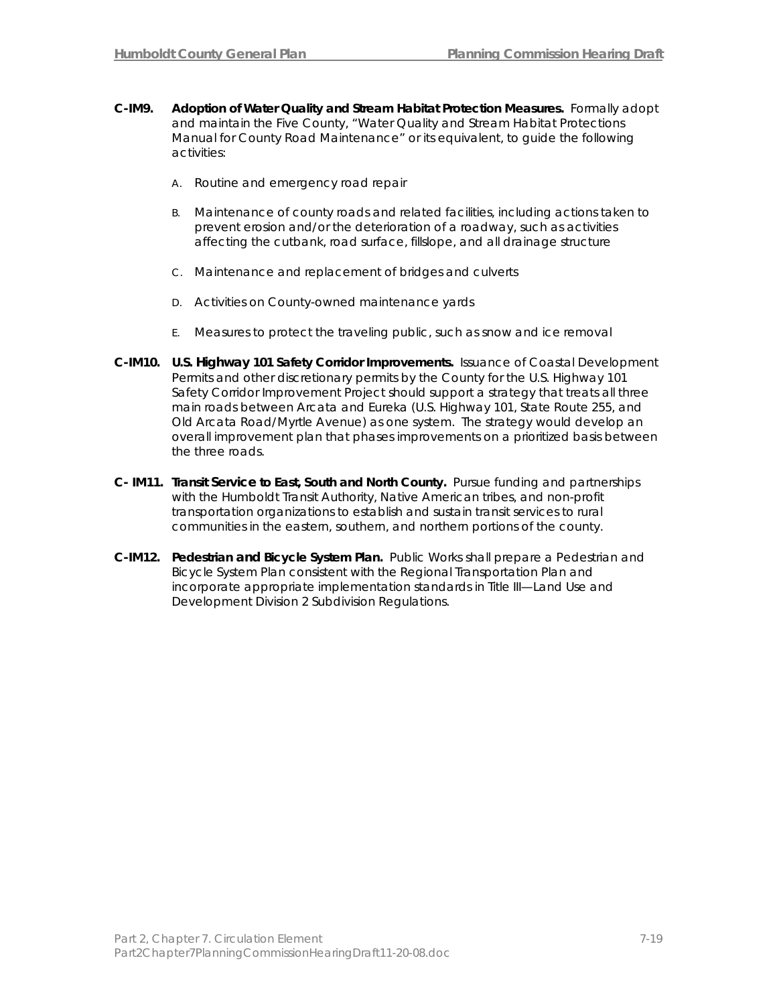- **C-IM9. Adoption of Water Quality and Stream Habitat Protection Measures.** Formally adopt and maintain the Five County, "Water Quality and Stream Habitat Protections Manual for County Road Maintenance" or its equivalent, to guide the following activities:
	- A. Routine and emergency road repair
	- B. Maintenance of county roads and related facilities, including actions taken to prevent erosion and/or the deterioration of a roadway, such as activities affecting the cutbank, road surface, fillslope, and all drainage structure
	- C. Maintenance and replacement of bridges and culverts
	- D. Activities on County-owned maintenance yards
	- E. Measures to protect the traveling public, such as snow and ice removal
- **C-IM10. U.S. Highway 101 Safety Corridor Improvements.** Issuance of Coastal Development Permits and other discretionary permits by the County for the U.S. Highway 101 Safety Corridor Improvement Project should support a strategy that treats all three main roads between Arcata and Eureka (U.S. Highway 101, State Route 255, and Old Arcata Road/Myrtle Avenue) as one system. The strategy would develop an overall improvement plan that phases improvements on a prioritized basis between the three roads.
- **C- IM11. Transit Service to East, South and North County.** Pursue funding and partnerships with the Humboldt Transit Authority, Native American tribes, and non-profit transportation organizations to establish and sustain transit services to rural communities in the eastern, southern, and northern portions of the county.
- **C-IM12. Pedestrian and Bicycle System Plan.** Public Works shall prepare a Pedestrian and Bicycle System Plan consistent with the Regional Transportation Plan and incorporate appropriate implementation standards in Title III—Land Use and Development Division 2 Subdivision Regulations.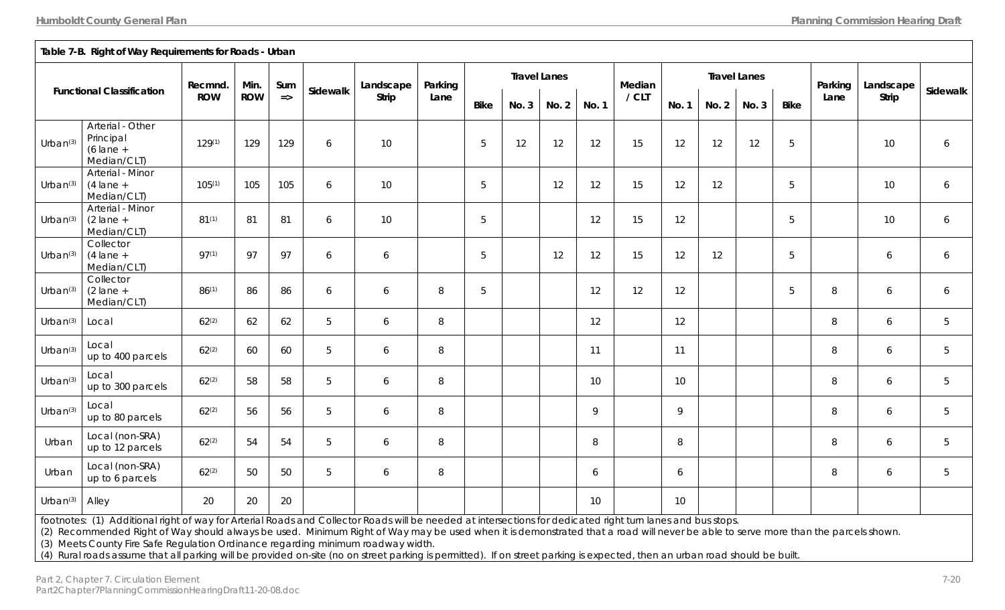|  | <b>IVIEUIALI/ CLI</b>                     |       |
|--|-------------------------------------------|-------|
|  | Arterial - Minor                          |       |
|  | Urban <sup>(3)</sup> $(2 \text{ lane } +$ | R1(1) |
|  | Median/CLT)                               |       |

| Urban $(3)$          | Arterial - Other<br>Principal<br>$(6 \text{ lane } +$<br>Median/CLT)                                                                                       | $129^{(1)}$ | 129 | 129 | 6 | 10 |   | 5          | 12 | 12 | 12     | 15 | 12 | 12 | 12 | 5 |        | 10 | 6              |
|----------------------|------------------------------------------------------------------------------------------------------------------------------------------------------------|-------------|-----|-----|---|----|---|------------|----|----|--------|----|----|----|----|---|--------|----|----------------|
| Urban $(3)$          | Arterial - Minor<br>$(4 \text{ lane } +$<br>Median/CLT)                                                                                                    | $105^{(1)}$ | 105 | 105 | 6 | 10 |   | $\sqrt{5}$ |    | 12 | 12     | 15 | 12 | 12 |    | 5 |        | 10 | 6              |
| Urban <sup>(3)</sup> | Arterial - Minor<br>$(2 \text{ lane } +$<br>Median/CLT)                                                                                                    | $81^{(1)}$  | 81  | 81  | 6 | 10 |   | 5          |    |    | 12     | 15 | 12 |    |    | 5 |        | 10 | 6              |
| Urban $(3)$          | Collector<br>$(4 \text{ lane } +$<br>Median/CLT)                                                                                                           | $97^{(1)}$  | 97  | 97  | 6 | 6  |   | 5          |    | 12 | 12     | 15 | 12 | 12 |    | 5 |        | 6  | 6              |
| Urban <sup>(3)</sup> | Collector<br>$(2 \text{ lane } +$<br>Median/CLT)                                                                                                           | $86^{(1)}$  | 86  | 86  | 6 | 6  | 8 | $\sqrt{5}$ |    |    | 12     | 12 | 12 |    |    | 5 | 8      | 6  | 6              |
| Urban $(3)$          | Local                                                                                                                                                      | $62^{(2)}$  | 62  | 62  | 5 | 6  | 8 |            |    |    | 12     |    | 12 |    |    |   | 8      | 6  | 5              |
| Urban <sup>(3)</sup> | Local<br>up to 400 parcels                                                                                                                                 | $62^{(2)}$  | 60  | 60  | 5 | 6  | 8 |            |    |    | 11     |    | 11 |    |    |   | 8      | 6  | 5              |
| Urban <sup>(3)</sup> | Local<br>up to 300 parcels                                                                                                                                 | $62^{(2)}$  | 58  | 58  | 5 | 6  | 8 |            |    |    | 10     |    | 10 |    |    |   | 8      | 6  | 5              |
| Urban <sup>(3)</sup> | Local<br>up to 80 parcels                                                                                                                                  | $62^{(2)}$  | 56  | 56  | 5 | 6  | 8 |            |    |    | 9      |    | 9  |    |    |   | 8      | 6  | 5              |
| Urban                | Local (non-SRA)<br>up to 12 parcels                                                                                                                        | $62^{(2)}$  | 54  | 54  | 5 | 6  | 8 |            |    |    | $\, 8$ |    | 8  |    |    |   | $\, 8$ | 6  | $\overline{5}$ |
| Urban                | Local (non-SRA)<br>up to 6 parcels                                                                                                                         | $62^{(2)}$  | 50  | 50  | 5 | 6  | 8 |            |    |    | 6      |    | 6  |    |    |   | 8      | 6  | 5              |
| Urban <sup>(3)</sup> | Alley                                                                                                                                                      | 20          | 20  | 20  |   |    |   |            |    |    | 10     |    | 10 |    |    |   |        |    |                |
|                      | footpotes: (1) Additional right of way for Arterial Roads and Collector Roads will be needed at intersections for dedicated right turn lanes and bus stons |             |     |     |   |    |   |            |    |    |        |    |    |    |    |   |        |    |                |

Functional Classification Recmnd. Min. Sum sidewalk andscape Parking Lane Bike No. 3 No. 2 No. 1 No. 2 No. 3 No. 2 No. 3 Bike Lane Strip Sidewalk <sub>Bike</sub> Parking Lane Strip Sidewalk in Strip Sidewalk in the Strip Sidewalk i

**Travel Lanes Travel Lanes** 

footnotes: (1) Additional right of way for Arterial Roads and Collector Roads will be needed at intersections for dedicated right turn lanes and bus stops. (2) Recommended Right of Way should always be used. Minimum Right of Way may be used when it is demonstrated that a road will never be able to serve more than the parcels shown.

(3) Meets County Fire Safe Regulation Ordinance regarding minimum roadway width.

(4) Rural roads assume that all parking will be provided on-site (no on street parking is permitted). If on street parking is expected, then an urban road should be built.

**Table 7-B. Right of Way Requirements for Roads - Urban**